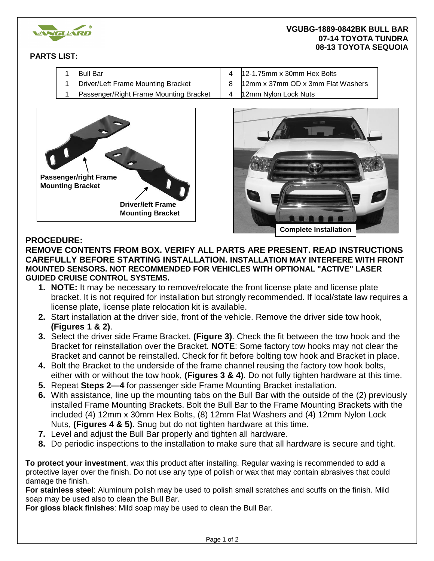

### **VGUBG-1889-0842BK BULL BAR 07-14 TOYOTA TUNDRA 08-13 TOYOTA SEQUOIA**

## **PARTS LIST:**

| <b>Bull Bar</b>                        | 12-1.75mm x 30mm Hex Bolts        |
|----------------------------------------|-----------------------------------|
| Driver/Left Frame Mounting Bracket     | 12mm x 37mm OD x 3mm Flat Washers |
| Passenger/Right Frame Mounting Bracket | 12mm Nylon Lock Nuts              |





# **PROCEDURE:**

## **REMOVE CONTENTS FROM BOX. VERIFY ALL PARTS ARE PRESENT. READ INSTRUCTIONS CAREFULLY BEFORE STARTING INSTALLATION. INSTALLATION MAY INTERFERE WITH FRONT MOUNTED SENSORS. NOT RECOMMENDED FOR VEHICLES WITH OPTIONAL "ACTIVE" LASER GUIDED CRUISE CONTROL SYSTEMS.**

- **1. NOTE:** It may be necessary to remove/relocate the front license plate and license plate bracket. It is not required for installation but strongly recommended. If local/state law requires a license plate, license plate relocation kit is available.
- **2.** Start installation at the driver side, front of the vehicle. Remove the driver side tow hook, **(Figures 1 & 2)**.
- **3.** Select the driver side Frame Bracket, **(Figure 3)**. Check the fit between the tow hook and the Bracket for reinstallation over the Bracket. **NOTE**: Some factory tow hooks may not clear the Bracket and cannot be reinstalled. Check for fit before bolting tow hook and Bracket in place.
- **4.** Bolt the Bracket to the underside of the frame channel reusing the factory tow hook bolts, either with or without the tow hook, **(Figures 3 & 4)**. Do not fully tighten hardware at this time.
- **5.** Repeat **Steps 2—4** for passenger side Frame Mounting Bracket installation.
- **6.** With assistance, line up the mounting tabs on the Bull Bar with the outside of the (2) previously installed Frame Mounting Brackets. Bolt the Bull Bar to the Frame Mounting Brackets with the included (4) 12mm x 30mm Hex Bolts, (8) 12mm Flat Washers and (4) 12mm Nylon Lock Nuts, **(Figures 4 & 5)**. Snug but do not tighten hardware at this time.
- **7.** Level and adjust the Bull Bar properly and tighten all hardware.
- **8.** Do periodic inspections to the installation to make sure that all hardware is secure and tight.

**To protect your investment**, wax this product after installing. Regular waxing is recommended to add a protective layer over the finish. Do not use any type of polish or wax that may contain abrasives that could damage the finish.

**For stainless steel**: Aluminum polish may be used to polish small scratches and scuffs on the finish. Mild soap may be used also to clean the Bull Bar.

**For gloss black finishes**: Mild soap may be used to clean the Bull Bar.